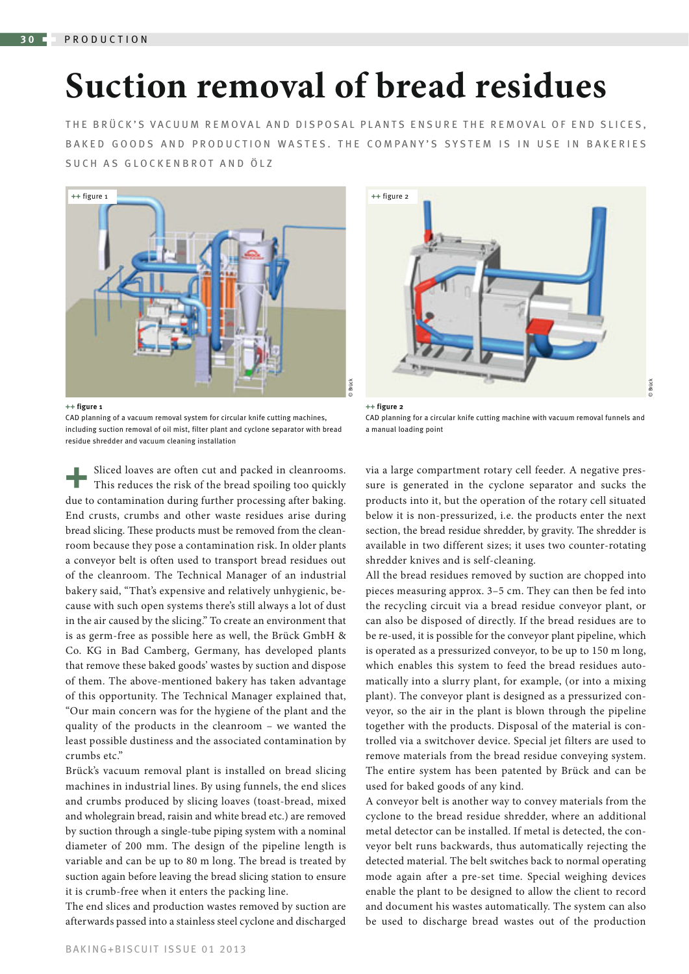## **Suction removal of bread residues**

THE BRÜCK'S VACUUM REMOVAL AND DISPOSAL PLANTS ENSURE THE REMOVAL OF END SLICES, BAKED GOODS AND PRODUCTION WASTES. THE COMPANY'S SYSTEM IS IN USE IN BAKERIES SUCH AS GLOCKENBROT AND ÖLZ



**++ figure 1**

CAD planning of a vacuum removal system for circular knife cutting machines, including suction removal of oil mist, filter plant and cyclone separator with bread residue shredder and vacuum cleaning installation

Sliced loaves are often cut and packed in cleanrooms. This reduces the risk of the bread spoiling too quickly due to contamination during further processing after baking. End crusts, crumbs and other waste residues arise during bread slicing. These products must be removed from the cleanroom because they pose a contamination risk. In older plants a conveyor belt is often used to transport bread residues out of the cleanroom. The Technical Manager of an industrial bakery said, "That's expensive and relatively unhygienic, because with such open systems there's still always a lot of dust in the air caused by the slicing." To create an environment that is as germ-free as possible here as well, the Brück GmbH & Co. KG in Bad Camberg, Germany, has developed plants that remove these baked goods' wastes by suction and dispose of them. The above-mentioned bakery has taken advantage of this opportunity. The Technical Manager explained that, "Our main concern was for the hygiene of the plant and the quality of the products in the cleanroom – we wanted the least possible dustiness and the associated contamination by crumbs etc."

Brück's vacuum removal plant is installed on bread slicing machines in industrial lines. By using funnels, the end slices and crumbs produced by slicing loaves (toast-bread, mixed and wholegrain bread, raisin and white bread etc.) are removed by suction through a single-tube piping system with a nominal diameter of 200 mm. The design of the pipeline length is variable and can be up to 80 m long. The bread is treated by suction again before leaving the bread slicing station to ensure it is crumb-free when it enters the packing line.

The end slices and production wastes removed by suction are afterwards passed into a stainless steel cyclone and discharged



**++ figure 2** CAD planning for a circular knife cutting machine with vacuum removal funnels and a manual loading point

via a large compartment rotary cell feeder. A negative pressure is generated in the cyclone separator and sucks the products into it, but the operation of the rotary cell situated below it is non-pressurized, i.e. the products enter the next section, the bread residue shredder, by gravity. The shredder is available in two different sizes; it uses two counter-rotating shredder knives and is self-cleaning.

All the bread residues removed by suction are chopped into pieces measuring approx. 3–5 cm. They can then be fed into the recycling circuit via a bread residue conveyor plant, or can also be disposed of directly. If the bread residues are to be re-used, it is possible for the conveyor plant pipeline, which is operated as a pressurized conveyor, to be up to 150 m long, which enables this system to feed the bread residues automatically into a slurry plant, for example, (or into a mixing plant). The conveyor plant is designed as a pressurized conveyor, so the air in the plant is blown through the pipeline together with the products. Disposal of the material is controlled via a switchover device. Special jet filters are used to remove materials from the bread residue conveying system. The entire system has been patented by Brück and can be used for baked goods of any kind.

A conveyor belt is another way to convey materials from the cyclone to the bread residue shredder, where an additional metal detector can be installed. If metal is detected, the conveyor belt runs backwards, thus automatically rejecting the detected material. The belt switches back to normal operating mode again after a pre-set time. Special weighing devices enable the plant to be designed to allow the client to record and document his wastes automatically. The system can also be used to discharge bread wastes out of the production